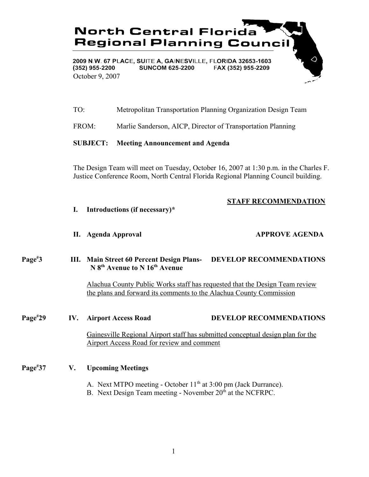

- TO: Metropolitan Transportation Planning Organization Design Team
- FROM: Marlie Sanderson, AICP, Director of Transportation Planning

### **SUBJECT: Meeting Announcement and Agenda**

The Design Team will meet on Tuesday, October 16, 2007 at 1:30 p.m. in the Charles F. Justice Conference Room, North Central Florida Regional Planning Council building.

## **STAFF RECOMMENDATION**

**I. Introductions (if necessary)\***

### **II. Agenda Approval APPROVE AGENDA**

### **Page# 3 III. Main Street 60 Percent Design Plans- DEVELOP RECOMMENDATIONS N 8th Avenue to N 16th Avenue**

Alachua County Public Works staff has requested that the Design Team review the plans and forward its comments to the Alachua County Commission

### **Page#**

## **29 IV. Airport Access Road DEVELOP RECOMMENDATIONS**

Gainesville Regional Airport staff has submitted conceptual design plan for the Airport Access Road for review and comment

### **Page# 37 V. Upcoming Meetings**

- A. Next MTPO meeting October  $11<sup>th</sup>$  at 3:00 pm (Jack Durrance).
- B. Next Design Team meeting November  $20<sup>th</sup>$  at the NCFRPC.